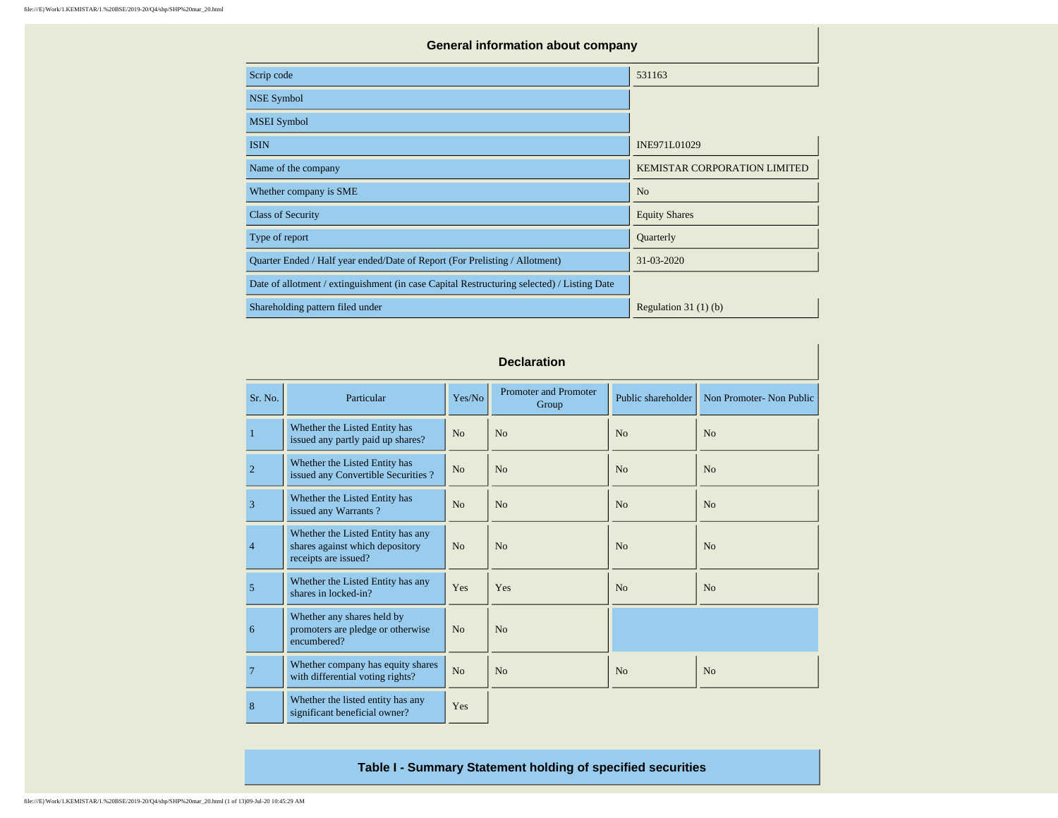| <b>General information about company</b>                                                   |                              |  |  |  |  |  |  |  |  |  |
|--------------------------------------------------------------------------------------------|------------------------------|--|--|--|--|--|--|--|--|--|
| Scrip code                                                                                 | 531163                       |  |  |  |  |  |  |  |  |  |
| NSE Symbol                                                                                 |                              |  |  |  |  |  |  |  |  |  |
| <b>MSEI</b> Symbol                                                                         |                              |  |  |  |  |  |  |  |  |  |
| <b>ISIN</b>                                                                                | INE971L01029                 |  |  |  |  |  |  |  |  |  |
| Name of the company                                                                        | KEMISTAR CORPORATION LIMITED |  |  |  |  |  |  |  |  |  |
| Whether company is SME                                                                     | N <sub>o</sub>               |  |  |  |  |  |  |  |  |  |
| <b>Class of Security</b>                                                                   | <b>Equity Shares</b>         |  |  |  |  |  |  |  |  |  |
| Type of report                                                                             | Quarterly                    |  |  |  |  |  |  |  |  |  |
| Quarter Ended / Half year ended/Date of Report (For Prelisting / Allotment)                | 31-03-2020                   |  |  |  |  |  |  |  |  |  |
| Date of allotment / extinguishment (in case Capital Restructuring selected) / Listing Date |                              |  |  |  |  |  |  |  |  |  |
| Shareholding pattern filed under                                                           | Regulation $31(1)(b)$        |  |  |  |  |  |  |  |  |  |

|                | <b>Declaration</b>                                                                           |                |                                       |                    |                          |  |  |  |  |  |  |  |  |
|----------------|----------------------------------------------------------------------------------------------|----------------|---------------------------------------|--------------------|--------------------------|--|--|--|--|--|--|--|--|
| Sr. No.        | Particular                                                                                   | Yes/No         | <b>Promoter and Promoter</b><br>Group | Public shareholder | Non Promoter- Non Public |  |  |  |  |  |  |  |  |
| $\mathbf{1}$   | Whether the Listed Entity has<br>issued any partly paid up shares?                           | No             | No                                    | No                 | N <sub>0</sub>           |  |  |  |  |  |  |  |  |
| $\overline{2}$ | Whether the Listed Entity has<br>issued any Convertible Securities?                          | N <sub>o</sub> | N <sub>o</sub>                        | N <sub>o</sub>     | N <sub>o</sub>           |  |  |  |  |  |  |  |  |
| $\overline{3}$ | Whether the Listed Entity has<br>issued any Warrants?                                        | N <sub>o</sub> | N <sub>o</sub>                        | N <sub>o</sub>     | N <sub>o</sub>           |  |  |  |  |  |  |  |  |
| $\overline{4}$ | Whether the Listed Entity has any<br>shares against which depository<br>receipts are issued? | N <sub>0</sub> | No                                    | N <sub>o</sub>     | N <sub>o</sub>           |  |  |  |  |  |  |  |  |
| 5              | Whether the Listed Entity has any<br>shares in locked-in?                                    | Yes            | Yes                                   | N <sub>o</sub>     | N <sub>o</sub>           |  |  |  |  |  |  |  |  |
| 6              | Whether any shares held by<br>promoters are pledge or otherwise<br>encumbered?               | N <sub>0</sub> | No                                    |                    |                          |  |  |  |  |  |  |  |  |
| $\overline{7}$ | Whether company has equity shares<br>with differential voting rights?                        | N <sub>o</sub> | N <sub>o</sub>                        | N <sub>o</sub>     | N <sub>o</sub>           |  |  |  |  |  |  |  |  |
| 8              | Whether the listed entity has any<br>significant beneficial owner?                           | Yes            |                                       |                    |                          |  |  |  |  |  |  |  |  |

**Table I - Summary Statement holding of specified securities**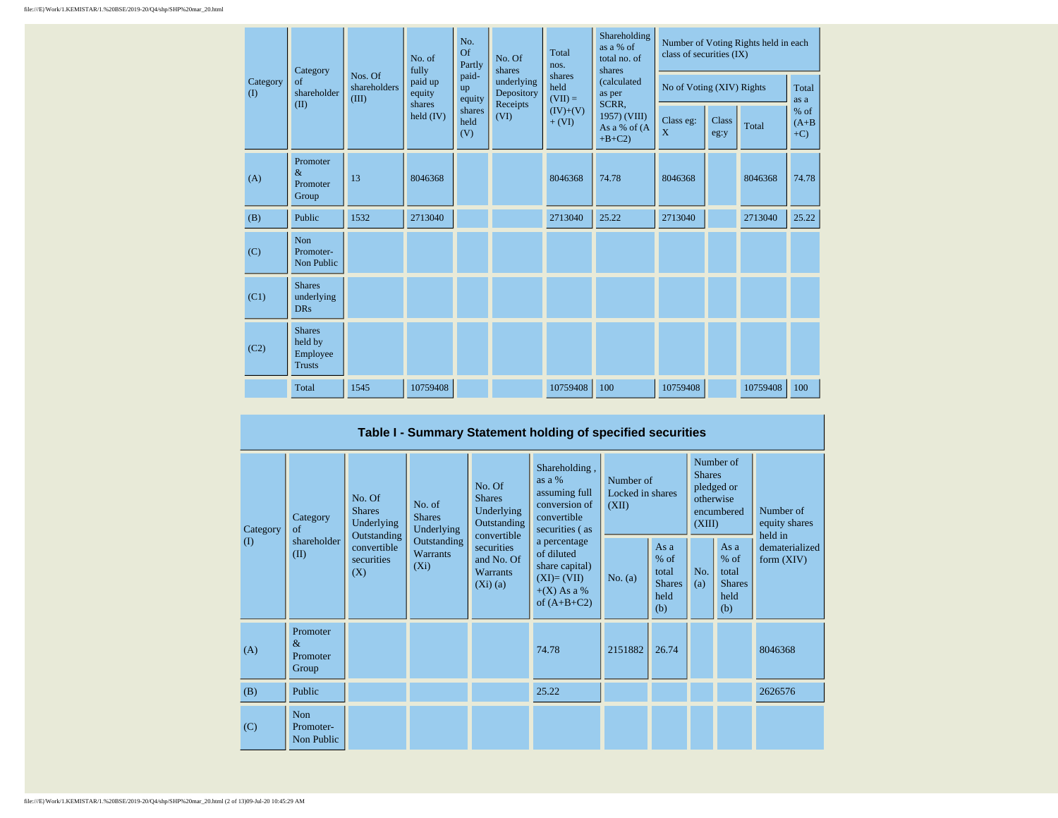| Category     | Category<br>Nos. Of<br>of                             |                       | No. of<br>fully       | No.<br>Of<br>Partly<br>paid- | No. Of<br>shares         | Total<br>nos.               | Shareholding<br>as $a\%$ of<br>total no. of<br>shares | Number of Voting Rights held in each<br>class of securities (IX) |               |          |                           |  |
|--------------|-------------------------------------------------------|-----------------------|-----------------------|------------------------------|--------------------------|-----------------------------|-------------------------------------------------------|------------------------------------------------------------------|---------------|----------|---------------------------|--|
| $($ $\Gamma$ | shareholder                                           | shareholders<br>(III) | paid up<br>equity     | up<br>equity                 | underlying<br>Depository | shares<br>held<br>$(VII) =$ | <i>(calculated)</i><br>as per                         | No of Voting (XIV) Rights                                        |               |          | Total<br>as a             |  |
|              | (II)                                                  |                       | shares<br>held $(IV)$ | shares<br>held<br>(V)        | Receipts<br>(VI)         | $(IV)+(V)$<br>$+ (VI)$      | SCRR,<br>1957) (VIII)<br>As a % of (A<br>$+B+C2$      | Class eg:<br>X                                                   | Class<br>eg:y | Total    | $%$ of<br>$(A+B)$<br>$+C$ |  |
| (A)          | Promoter<br>$\&$<br>Promoter<br>Group                 | 13                    | 8046368               |                              |                          | 8046368                     | 74.78                                                 | 8046368                                                          |               | 8046368  | 74.78                     |  |
| (B)          | Public                                                | 1532                  | 2713040               |                              |                          | 2713040                     | 25.22                                                 | 2713040                                                          |               | 2713040  | 25.22                     |  |
| (C)          | Non<br>Promoter-<br>Non Public                        |                       |                       |                              |                          |                             |                                                       |                                                                  |               |          |                           |  |
| (C1)         | <b>Shares</b><br>underlying<br><b>DRs</b>             |                       |                       |                              |                          |                             |                                                       |                                                                  |               |          |                           |  |
| (C2)         | <b>Shares</b><br>held by<br>Employee<br><b>Trusts</b> |                       |                       |                              |                          |                             |                                                       |                                                                  |               |          |                           |  |
|              | Total                                                 | 1545                  | 10759408              |                              |                          | 10759408                    | 100                                                   | 10759408                                                         |               | 10759408 | 100                       |  |

## **Table I - Summary Statement holding of specified securities**

| Category<br>$\left( \mathrm{I}\right)$ | No. Of<br><b>Shares</b><br>Category<br>Underlying<br>$\sigma$<br>Outstanding |                                  | <b>Shares</b><br>No. of<br><b>Shares</b><br>Underlying<br>convertible |                                                        | Shareholding,<br>as a %<br>No. Of<br>assuming full<br>conversion of<br>Underlying<br>convertible<br>Outstanding<br>securities (as | Number of<br>Locked in shares<br>(XII) |                                                         | Number of<br><b>Shares</b><br>pledged or<br>otherwise<br>encumbered<br>(XIII) |                                                       | Number of<br>equity shares<br>held in |  |
|----------------------------------------|------------------------------------------------------------------------------|----------------------------------|-----------------------------------------------------------------------|--------------------------------------------------------|-----------------------------------------------------------------------------------------------------------------------------------|----------------------------------------|---------------------------------------------------------|-------------------------------------------------------------------------------|-------------------------------------------------------|---------------------------------------|--|
|                                        | shareholder<br>(II)                                                          | convertible<br>securities<br>(X) | Outstanding<br>Warrants<br>$(X_i)$                                    | securities<br>and No. Of<br><b>Warrants</b><br>(Xi)(a) | a percentage<br>of diluted<br>share capital)<br>$(XI)=(VII)$<br>$+(X)$ As a %<br>of $(A+B+C2)$                                    | No. $(a)$                              | As a<br>$%$ of<br>total<br><b>Shares</b><br>held<br>(b) | No.<br>(a)                                                                    | As a<br>% of<br>total<br><b>Shares</b><br>held<br>(b) | dematerialized<br>form $(XIV)$        |  |
| (A)                                    | Promoter<br>$\&$<br>Promoter<br>Group                                        |                                  |                                                                       |                                                        | 74.78                                                                                                                             | 2151882                                | 26.74                                                   |                                                                               |                                                       | 8046368                               |  |
| (B)                                    | Public                                                                       |                                  |                                                                       |                                                        | 25.22                                                                                                                             |                                        |                                                         |                                                                               |                                                       | 2626576                               |  |
| (C)                                    | <b>Non</b><br>Promoter-<br>Non Public                                        |                                  |                                                                       |                                                        |                                                                                                                                   |                                        |                                                         |                                                                               |                                                       |                                       |  |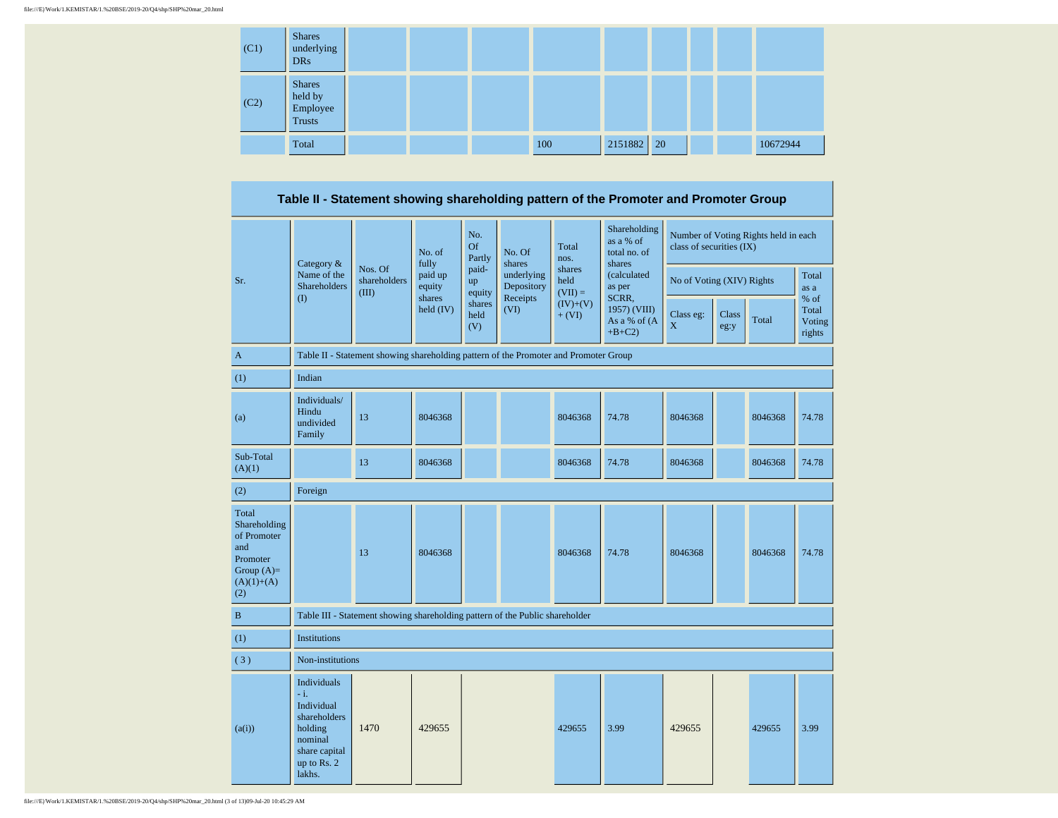| (C1) | <b>Shares</b><br>underlying<br><b>DRs</b>      |  |     |         |               |  |          |
|------|------------------------------------------------|--|-----|---------|---------------|--|----------|
| (C2) | <b>Shares</b><br>held by<br>Employee<br>Trusts |  |     |         |               |  |          |
|      | Total                                          |  | 100 | 2151882 | <sup>20</sup> |  | 10672944 |

**Table II - Statement showing shareholding pattern of the Promoter and Promoter Group**

|                                                                                                | Category $\&$                                                                                                       |                                                                                      | No. of<br>fully       | No.<br><b>Of</b><br>Partly   | No. Of<br>shares         | Total<br>nos.               | Shareholding<br>as a % of<br>total no. of<br>shares | class of securities (IX)  |               | Number of Voting Rights held in each |                                   |
|------------------------------------------------------------------------------------------------|---------------------------------------------------------------------------------------------------------------------|--------------------------------------------------------------------------------------|-----------------------|------------------------------|--------------------------|-----------------------------|-----------------------------------------------------|---------------------------|---------------|--------------------------------------|-----------------------------------|
| Sr.                                                                                            | Name of the<br><b>Shareholders</b>                                                                                  | Nos. Of<br>shareholders<br>(III)                                                     | paid up<br>equity     | paid-<br><b>up</b><br>equity | underlying<br>Depository | shares<br>held<br>$(VII) =$ | (calculated<br>as per                               | No of Voting (XIV) Rights |               |                                      | Total<br>as a                     |
|                                                                                                | (1)                                                                                                                 |                                                                                      | shares<br>$held$ (IV) | shares<br>held<br>(V)        | Receipts<br>(VI)         | $(IV)+(V)$<br>$+ (VI)$      | SCRR,<br>1957) (VIII)<br>As a % of (A<br>$+B+C2$    | Class eg:<br>$\mathbf X$  | Class<br>eg:y | Total                                | % of<br>Total<br>Voting<br>rights |
| $\mathbf{A}$                                                                                   |                                                                                                                     | Table II - Statement showing shareholding pattern of the Promoter and Promoter Group |                       |                              |                          |                             |                                                     |                           |               |                                      |                                   |
| (1)                                                                                            | Indian                                                                                                              |                                                                                      |                       |                              |                          |                             |                                                     |                           |               |                                      |                                   |
| (a)                                                                                            | Individuals/<br>Hindu<br>undivided<br>Family                                                                        | 13                                                                                   | 8046368               |                              |                          | 8046368                     | 74.78                                               | 8046368                   |               | 8046368                              | 74.78                             |
| Sub-Total<br>(A)(1)                                                                            |                                                                                                                     | 13                                                                                   | 8046368               |                              |                          | 8046368                     | 74.78                                               | 8046368                   |               | 8046368                              | 74.78                             |
| (2)                                                                                            | Foreign                                                                                                             |                                                                                      |                       |                              |                          |                             |                                                     |                           |               |                                      |                                   |
| Total<br>Shareholding<br>of Promoter<br>and<br>Promoter<br>Group $(A)=$<br>$(A)(1)+(A)$<br>(2) |                                                                                                                     | 13                                                                                   | 8046368               |                              |                          | 8046368                     | 74.78                                               | 8046368                   |               | 8046368                              | 74.78                             |
| $\bf{B}$                                                                                       |                                                                                                                     | Table III - Statement showing shareholding pattern of the Public shareholder         |                       |                              |                          |                             |                                                     |                           |               |                                      |                                   |
| (1)                                                                                            | <b>Institutions</b>                                                                                                 |                                                                                      |                       |                              |                          |                             |                                                     |                           |               |                                      |                                   |
| (3)                                                                                            | Non-institutions                                                                                                    |                                                                                      |                       |                              |                          |                             |                                                     |                           |               |                                      |                                   |
| (a(i))                                                                                         | Individuals<br>$-i$ .<br>Individual<br>shareholders<br>holding<br>nominal<br>share capital<br>up to Rs. 2<br>lakhs. | 1470                                                                                 | 429655                |                              |                          | 429655                      | 3.99                                                | 429655                    |               | 429655                               | 3.99                              |

file:///E|/Work/1.KEMISTAR/1.%20BSE/2019-20/Q4/shp/SHP%20mar\_20.html (3 of 13)09-Jul-20 10:45:29 AM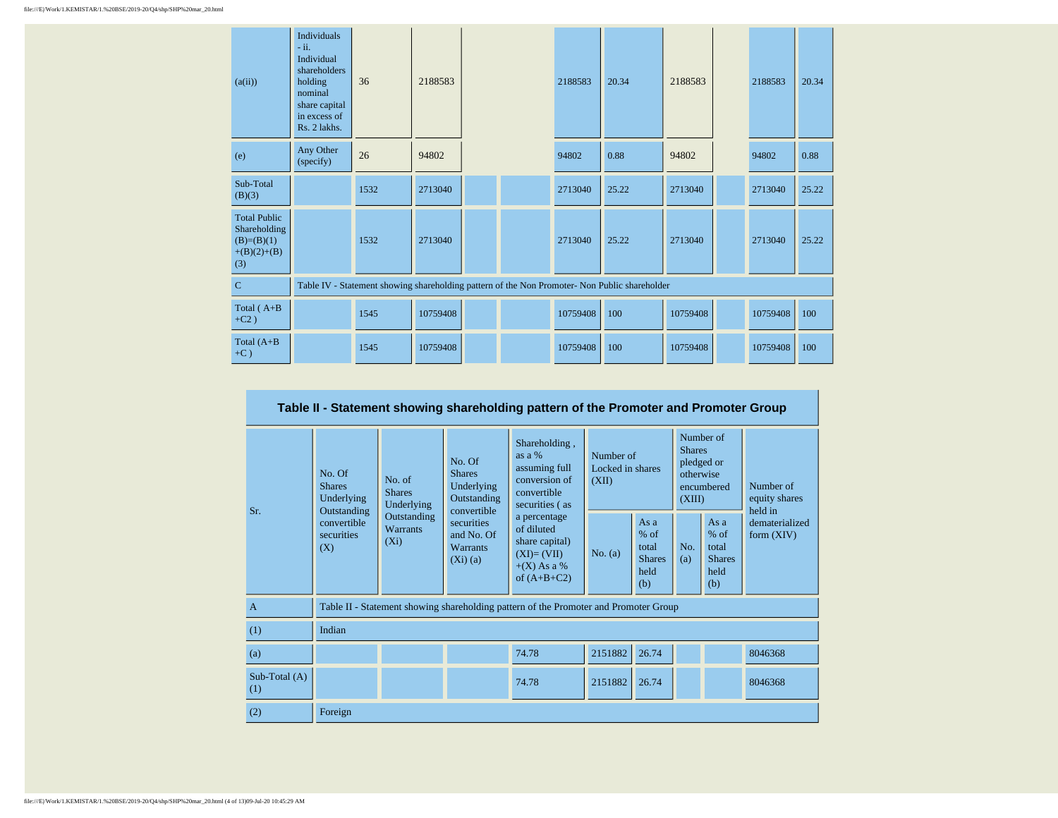| (a(ii))                                                                     | <b>Individuals</b><br>$-ii.$<br>Individual<br>shareholders<br>holding<br>nominal<br>share capital<br>in excess of<br>Rs. 2 lakhs. | 36   | 2188583  |  | 2188583  | 20.34                                                                                         | 2188583  | 2188583  | 20.34 |
|-----------------------------------------------------------------------------|-----------------------------------------------------------------------------------------------------------------------------------|------|----------|--|----------|-----------------------------------------------------------------------------------------------|----------|----------|-------|
| (e)                                                                         | Any Other<br>(specify)                                                                                                            | 26   | 94802    |  | 94802    | 0.88                                                                                          | 94802    | 94802    | 0.88  |
| Sub-Total<br>(B)(3)                                                         |                                                                                                                                   | 1532 | 2713040  |  | 2713040  | 25.22                                                                                         | 2713040  | 2713040  | 25.22 |
| <b>Total Public</b><br>Shareholding<br>$(B)=(B)(1)$<br>$+(B)(2)+(B)$<br>(3) |                                                                                                                                   | 1532 | 2713040  |  | 2713040  | 25.22                                                                                         | 2713040  | 2713040  | 25.22 |
| $\mathbf C$                                                                 |                                                                                                                                   |      |          |  |          | Table IV - Statement showing shareholding pattern of the Non Promoter- Non Public shareholder |          |          |       |
| Total $(A+B)$<br>$+C2$ )                                                    |                                                                                                                                   | 1545 | 10759408 |  | 10759408 | 100                                                                                           | 10759408 | 10759408 | 100   |
| Total $(A+B)$<br>$+C$ )                                                     |                                                                                                                                   | 1545 | 10759408 |  | 10759408 | 100                                                                                           | 10759408 | 10759408 | 100   |

| Table II - Statement showing shareholding pattern of the Promoter and Promoter Group |                                                      |                                           |                                                                     |                                                                                                |         |                                                         |            |                                                                               |                                       |  |  |
|--------------------------------------------------------------------------------------|------------------------------------------------------|-------------------------------------------|---------------------------------------------------------------------|------------------------------------------------------------------------------------------------|---------|---------------------------------------------------------|------------|-------------------------------------------------------------------------------|---------------------------------------|--|--|
| Sr.                                                                                  | No. Of<br><b>Shares</b><br>Underlying<br>Outstanding | No. of<br><b>Shares</b><br>Underlying     | No. Of<br><b>Shares</b><br>Underlying<br>Outstanding<br>convertible | Shareholding,<br>as $a\%$<br>assuming full<br>conversion of<br>convertible<br>securities (as   |         | Number of<br>Locked in shares<br>(XII)                  |            | Number of<br><b>Shares</b><br>pledged or<br>otherwise<br>encumbered<br>(XIII) | Number of<br>equity shares<br>held in |  |  |
|                                                                                      | convertible<br>securities<br>(X)                     | Outstanding<br><b>Warrants</b><br>$(X_i)$ | securities<br>and No. Of<br><b>Warrants</b><br>(Xi)(a)              | a percentage<br>of diluted<br>share capital)<br>$(XI)=(VII)$<br>$+(X)$ As a %<br>of $(A+B+C2)$ | No. (a) | As a<br>$%$ of<br>total<br><b>Shares</b><br>held<br>(b) | No.<br>(a) | As $a$<br>$%$ of<br>total<br><b>Shares</b><br>held<br>(b)                     | dematerialized<br>form $(XIV)$        |  |  |
| $\overline{A}$                                                                       |                                                      |                                           |                                                                     | Table II - Statement showing shareholding pattern of the Promoter and Promoter Group           |         |                                                         |            |                                                                               |                                       |  |  |
| (1)                                                                                  | Indian                                               |                                           |                                                                     |                                                                                                |         |                                                         |            |                                                                               |                                       |  |  |
| (a)                                                                                  |                                                      |                                           |                                                                     | 74.78                                                                                          | 2151882 | 26.74                                                   |            |                                                                               | 8046368                               |  |  |
| Sub-Total (A)<br>(1)                                                                 |                                                      |                                           |                                                                     | 74.78                                                                                          | 2151882 | 26.74                                                   |            |                                                                               | 8046368                               |  |  |
| (2)                                                                                  | Foreign                                              |                                           |                                                                     |                                                                                                |         |                                                         |            |                                                                               |                                       |  |  |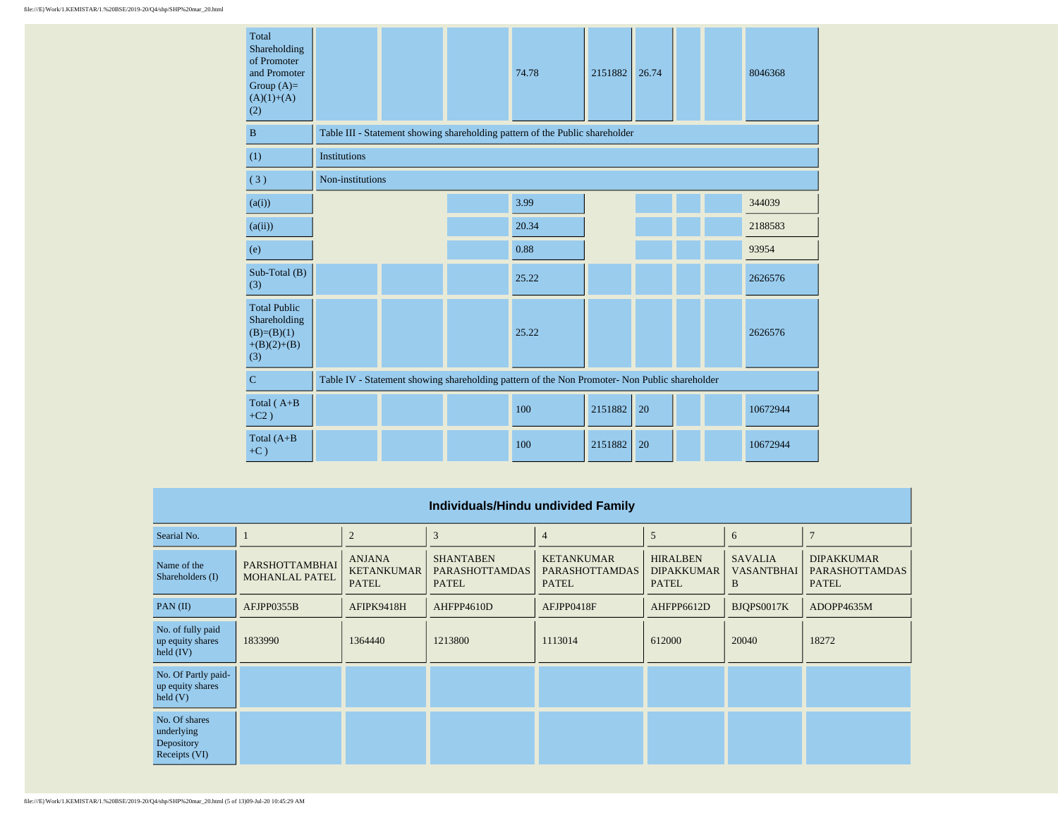| Total<br>Shareholding<br>of Promoter<br>and Promoter<br>Group $(A)=$<br>$(A)(1)+(A)$<br>(2) |                     |                                                                                               |  | 74.78                                                                        | 2151882 | 26.74 |  |  | 8046368  |  |  |
|---------------------------------------------------------------------------------------------|---------------------|-----------------------------------------------------------------------------------------------|--|------------------------------------------------------------------------------|---------|-------|--|--|----------|--|--|
| $\mathbf{B}$                                                                                |                     |                                                                                               |  | Table III - Statement showing shareholding pattern of the Public shareholder |         |       |  |  |          |  |  |
| (1)                                                                                         | <b>Institutions</b> |                                                                                               |  |                                                                              |         |       |  |  |          |  |  |
| (3)                                                                                         | Non-institutions    |                                                                                               |  |                                                                              |         |       |  |  |          |  |  |
| (a(i))                                                                                      |                     |                                                                                               |  | 3.99                                                                         |         |       |  |  | 344039   |  |  |
| (a(ii))                                                                                     |                     |                                                                                               |  | 20.34                                                                        |         |       |  |  | 2188583  |  |  |
| (e)                                                                                         |                     |                                                                                               |  | 0.88                                                                         |         |       |  |  | 93954    |  |  |
| $Sub-Total(B)$<br>(3)                                                                       |                     |                                                                                               |  | 25.22                                                                        |         |       |  |  | 2626576  |  |  |
| <b>Total Public</b><br>Shareholding<br>$(B)=(B)(1)$<br>$+(B)(2)+(B)$<br>(3)                 |                     |                                                                                               |  | 25.22                                                                        |         |       |  |  | 2626576  |  |  |
| $\mathbf C$                                                                                 |                     | Table IV - Statement showing shareholding pattern of the Non Promoter- Non Public shareholder |  |                                                                              |         |       |  |  |          |  |  |
| Total $(A+B)$<br>$+C2)$                                                                     |                     |                                                                                               |  | 100                                                                          | 2151882 | 20    |  |  | 10672944 |  |  |
| Total $(A+B)$<br>$+C$ )                                                                     |                     |                                                                                               |  | 100                                                                          | 2151882 | 20    |  |  | 10672944 |  |  |

| Individuals/Hindu undivided Family                           |                                         |                                                    |                                                           |                                                            |                                                      |                                          |                                                            |  |  |  |  |  |
|--------------------------------------------------------------|-----------------------------------------|----------------------------------------------------|-----------------------------------------------------------|------------------------------------------------------------|------------------------------------------------------|------------------------------------------|------------------------------------------------------------|--|--|--|--|--|
| Searial No.                                                  |                                         | $\overline{2}$                                     | 3                                                         | $\overline{4}$                                             | 5                                                    | 6                                        | $\overline{7}$                                             |  |  |  |  |  |
| Name of the<br>Shareholders (I)                              | PARSHOTTAMBHAI<br><b>MOHANLAL PATEL</b> | <b>ANJANA</b><br><b>KETANKUMAR</b><br><b>PATEL</b> | <b>SHANTABEN</b><br><b>PARASHOTTAMDAS</b><br><b>PATEL</b> | <b>KETANKUMAR</b><br><b>PARASHOTTAMDAS</b><br><b>PATEL</b> | <b>HIRALBEN</b><br><b>DIPAKKUMAR</b><br><b>PATEL</b> | <b>SAVALIA</b><br><b>VASANTBHAI</b><br>B | <b>DIPAKKUMAR</b><br><b>PARASHOTTAMDAS</b><br><b>PATEL</b> |  |  |  |  |  |
| PAN(II)                                                      | AFJPP0355B                              | AFIPK9418H                                         | AHFPP4610D                                                | AFJPP0418F                                                 | AHFPP6612D                                           | BJQPS0017K                               | ADOPP4635M                                                 |  |  |  |  |  |
| No. of fully paid<br>up equity shares<br>held $(IV)$         | 1833990                                 | 1364440                                            | 1213800                                                   | 1113014                                                    | 612000                                               | 20040                                    | 18272                                                      |  |  |  |  |  |
| No. Of Partly paid-<br>up equity shares<br>$\text{held}$ (V) |                                         |                                                    |                                                           |                                                            |                                                      |                                          |                                                            |  |  |  |  |  |
| No. Of shares<br>underlying<br>Depository<br>Receipts (VI)   |                                         |                                                    |                                                           |                                                            |                                                      |                                          |                                                            |  |  |  |  |  |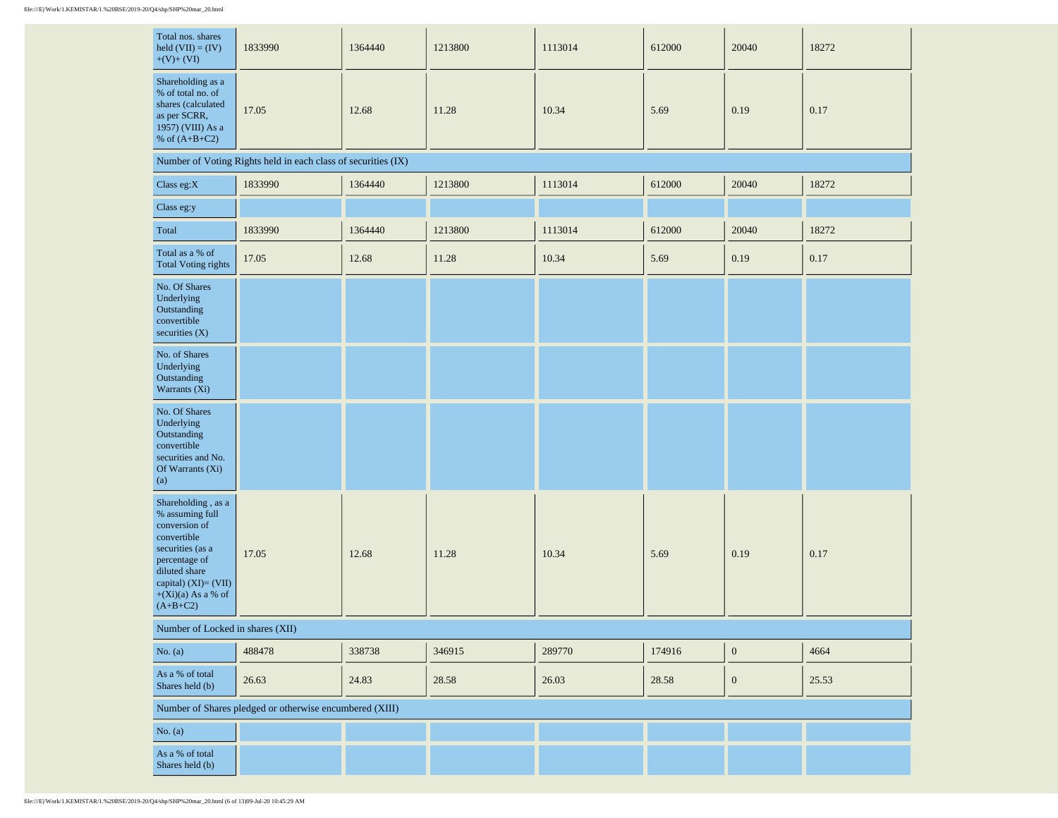| Total nos. shares<br>held $(VII) = (IV)$<br>$+(V)+(VI)$                                                                                                                                    | 1833990                                                       | 1364440 | 1213800 | 1113014 | 612000 | 20040            | 18272 |
|--------------------------------------------------------------------------------------------------------------------------------------------------------------------------------------------|---------------------------------------------------------------|---------|---------|---------|--------|------------------|-------|
| Shareholding as a<br>% of total no. of<br>shares (calculated<br>as per SCRR,<br>1957) (VIII) As a<br>% of $(A+B+C2)$                                                                       | 17.05                                                         | 12.68   | 11.28   | 10.34   | 5.69   | 0.19             | 0.17  |
|                                                                                                                                                                                            | Number of Voting Rights held in each class of securities (IX) |         |         |         |        |                  |       |
| Class eg: $X$                                                                                                                                                                              | 1833990                                                       | 1364440 | 1213800 | 1113014 | 612000 | 20040            | 18272 |
| Class eg:y                                                                                                                                                                                 |                                                               |         |         |         |        |                  |       |
| Total                                                                                                                                                                                      | 1833990                                                       | 1364440 | 1213800 | 1113014 | 612000 | 20040            | 18272 |
| Total as a % of<br><b>Total Voting rights</b>                                                                                                                                              | 17.05                                                         | 12.68   | 11.28   | 10.34   | 5.69   | 0.19             | 0.17  |
| No. Of Shares<br>Underlying<br>Outstanding<br>convertible<br>securities (X)                                                                                                                |                                                               |         |         |         |        |                  |       |
| No. of Shares<br>Underlying<br>Outstanding<br>Warrants (Xi)                                                                                                                                |                                                               |         |         |         |        |                  |       |
| No. Of Shares<br>Underlying<br>Outstanding<br>convertible<br>securities and No.<br>Of Warrants (Xi)<br>(a)                                                                                 |                                                               |         |         |         |        |                  |       |
| Shareholding , as a<br>% assuming full<br>conversion of<br>convertible<br>securities (as a<br>percentage of<br>diluted share<br>capital) (XI)= (VII)<br>$+(Xi)(a)$ As a % of<br>$(A+B+C2)$ | 17.05                                                         | 12.68   | 11.28   | 10.34   | 5.69   | 0.19             | 0.17  |
| Number of Locked in shares (XII)                                                                                                                                                           |                                                               |         |         |         |        |                  |       |
| No. $(a)$                                                                                                                                                                                  | 488478                                                        | 338738  | 346915  | 289770  | 174916 | $\boldsymbol{0}$ | 4664  |
| As a % of total<br>Shares held (b)                                                                                                                                                         | 26.63                                                         | 24.83   | 28.58   | 26.03   | 28.58  | $\boldsymbol{0}$ | 25.53 |
|                                                                                                                                                                                            | Number of Shares pledged or otherwise encumbered (XIII)       |         |         |         |        |                  |       |
| No. $(a)$                                                                                                                                                                                  |                                                               |         |         |         |        |                  |       |
| As a % of total<br>Shares held (b)                                                                                                                                                         |                                                               |         |         |         |        |                  |       |

 $\mathbf{r}$ 

 $\sim$ 

 $\sim$ 

 $\mathbf{r}$ 

 $\sim$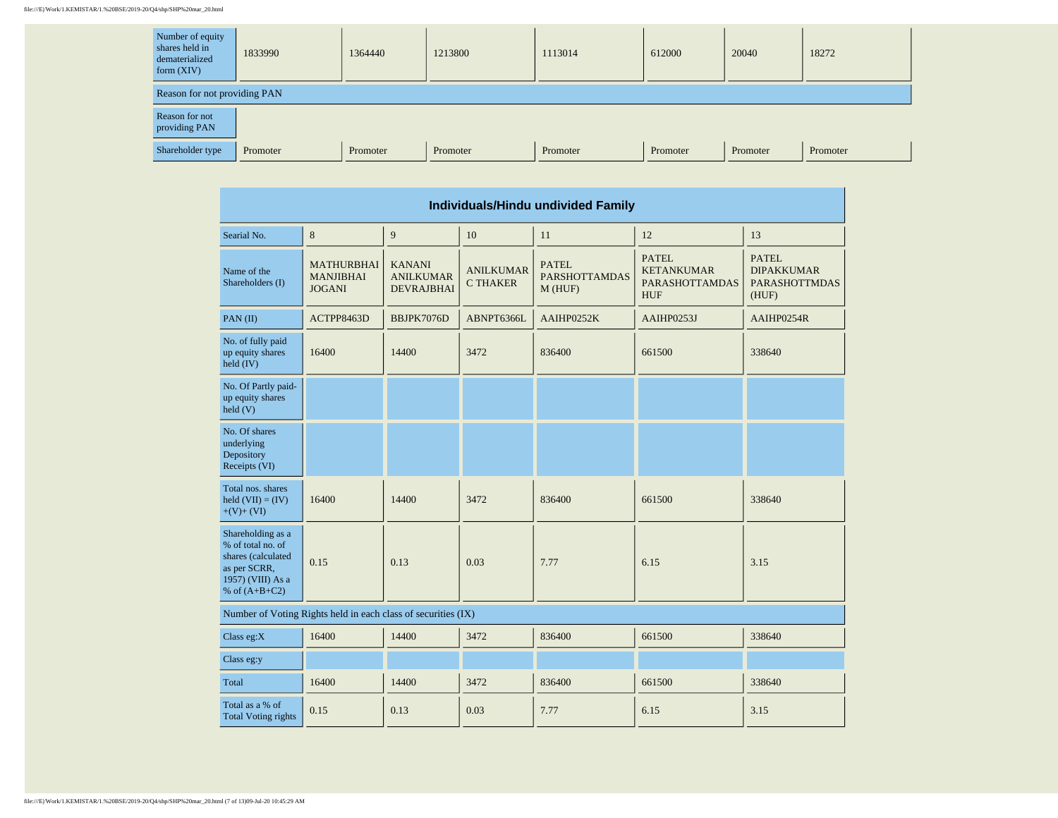## file:///E|/Work/1.KEMISTAR/1.%20BSE/2019-20/Q4/shp/SHP%20mar\_20.html

| Number of equity<br>shares held in<br>dematerialized<br>form $(XIV)$ | 1833990  | 1364440  | 1213800  | 1113014  | 612000   | 20040    | 18272    |  |  |  |  |
|----------------------------------------------------------------------|----------|----------|----------|----------|----------|----------|----------|--|--|--|--|
| Reason for not providing PAN                                         |          |          |          |          |          |          |          |  |  |  |  |
| Reason for not<br>providing PAN                                      |          |          |          |          |          |          |          |  |  |  |  |
| Shareholder type                                                     | Promoter | Promoter | Promoter | Promoter | Promoter | Promoter | Promoter |  |  |  |  |

 $\overline{\phantom{a}}$ 

| Individuals/Hindu undivided Family                                                                                   |                                                               |                                                        |                                     |                                                |                                                                          |                                                                    |  |  |  |        |  |
|----------------------------------------------------------------------------------------------------------------------|---------------------------------------------------------------|--------------------------------------------------------|-------------------------------------|------------------------------------------------|--------------------------------------------------------------------------|--------------------------------------------------------------------|--|--|--|--------|--|
| Searial No.                                                                                                          | 8                                                             | 9                                                      | 10                                  | 11                                             | 12                                                                       | 13                                                                 |  |  |  |        |  |
| Name of the<br>Shareholders (I)                                                                                      | <b>MATHURBHAI</b><br><b>MANJIBHAI</b><br><b>JOGANI</b>        | <b>KANANI</b><br><b>ANILKUMAR</b><br><b>DEVRAJBHAI</b> | <b>ANILKUMAR</b><br><b>C THAKER</b> | <b>PATEL</b><br><b>PARSHOTTAMDAS</b><br>M(HUF) | <b>PATEL</b><br><b>KETANKUMAR</b><br><b>PARASHOTTAMDAS</b><br><b>HUF</b> | <b>PATEL</b><br><b>DIPAKKUMAR</b><br><b>PARASHOTTMDAS</b><br>(HUF) |  |  |  |        |  |
| PAN(II)                                                                                                              | ACTPP8463D                                                    | BBJPK7076D                                             | ABNPT6366L                          | AAIHP0252K                                     | AAIHP0253J                                                               | AAIHP0254R                                                         |  |  |  |        |  |
| No. of fully paid<br>up equity shares<br>held (IV)                                                                   | 16400                                                         | 14400<br>3472<br>836400                                |                                     | 661500                                         |                                                                          |                                                                    |  |  |  | 338640 |  |
| No. Of Partly paid-<br>up equity shares<br>held(V)                                                                   |                                                               |                                                        |                                     |                                                |                                                                          |                                                                    |  |  |  |        |  |
| No. Of shares<br>underlying<br>Depository<br>Receipts (VI)                                                           |                                                               |                                                        |                                     |                                                |                                                                          |                                                                    |  |  |  |        |  |
| Total nos, shares<br>held $(VII) = (IV)$<br>$+(V)+(VI)$                                                              | 16400                                                         | 14400                                                  | 3472<br>836400                      |                                                | 661500                                                                   | 338640                                                             |  |  |  |        |  |
| Shareholding as a<br>% of total no. of<br>shares (calculated<br>as per SCRR,<br>1957) (VIII) As a<br>% of $(A+B+C2)$ | 0.15<br>0.13                                                  |                                                        | 0.03                                | 7.77                                           | 6.15                                                                     | 3.15                                                               |  |  |  |        |  |
|                                                                                                                      | Number of Voting Rights held in each class of securities (IX) |                                                        |                                     |                                                |                                                                          |                                                                    |  |  |  |        |  |
| Class eg: $X$                                                                                                        | 16400                                                         | 14400                                                  | 3472                                | 836400                                         | 661500                                                                   | 338640                                                             |  |  |  |        |  |
| Class eg:y                                                                                                           |                                                               |                                                        |                                     |                                                |                                                                          |                                                                    |  |  |  |        |  |
| Total                                                                                                                | 16400                                                         | 14400                                                  | 3472                                | 836400                                         | 661500                                                                   | 338640                                                             |  |  |  |        |  |
| Total as a % of<br><b>Total Voting rights</b>                                                                        | 0.15<br>0.13<br>0.03<br>7.77<br>6.15                          |                                                        |                                     | 3.15                                           |                                                                          |                                                                    |  |  |  |        |  |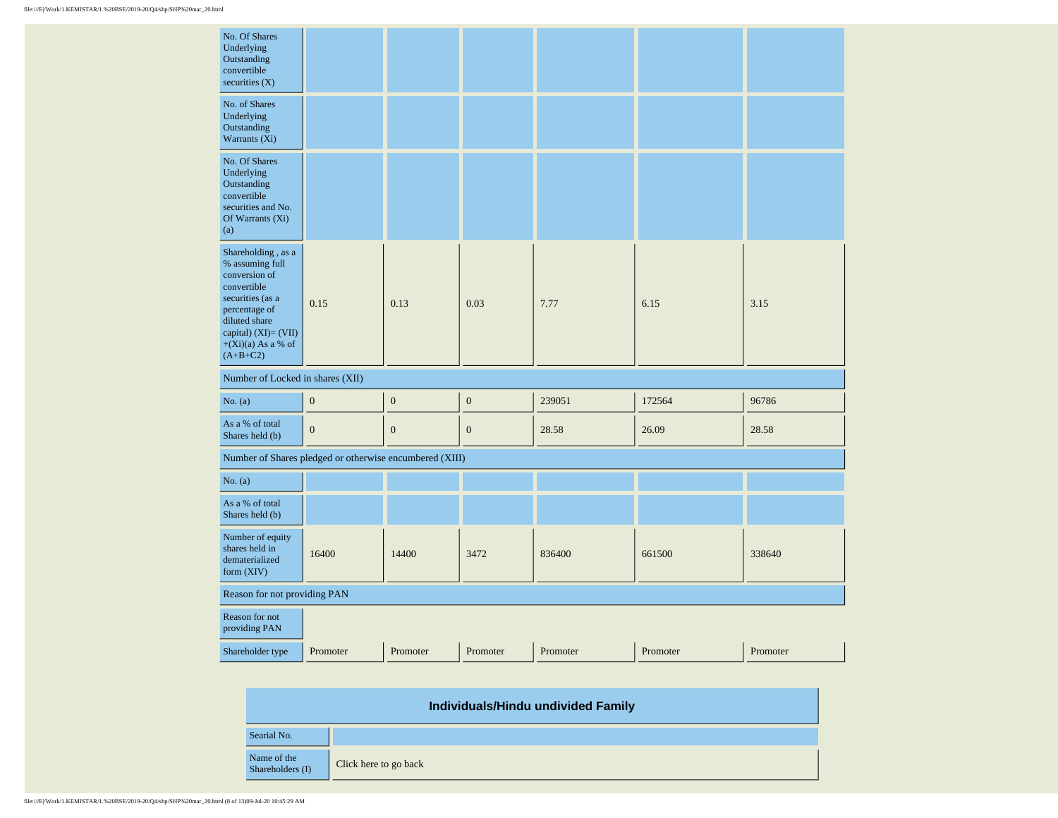| No. Of Shares<br>Underlying<br>Outstanding<br>convertible<br>securities $(X)$                                                                                                             |                  |                  |                  |          |          |          |  |
|-------------------------------------------------------------------------------------------------------------------------------------------------------------------------------------------|------------------|------------------|------------------|----------|----------|----------|--|
| No. of Shares<br>Underlying<br>Outstanding<br>Warrants (Xi)                                                                                                                               |                  |                  |                  |          |          |          |  |
| No. Of Shares<br>Underlying<br>Outstanding<br>convertible<br>securities and No.<br>Of Warrants (Xi)<br>(a)                                                                                |                  |                  |                  |          |          |          |  |
| Shareholding, as a<br>% assuming full<br>conversion of<br>convertible<br>securities (as a<br>percentage of<br>diluted share<br>capital) (XI)= (VII)<br>$+(Xi)(a)$ As a % of<br>$(A+B+C2)$ | 0.15             | 0.13             | 0.03             | 7.77     | 6.15     | 3.15     |  |
| Number of Locked in shares (XII)                                                                                                                                                          |                  |                  |                  |          |          |          |  |
| No. (a)                                                                                                                                                                                   | $\boldsymbol{0}$ | $\boldsymbol{0}$ | $\boldsymbol{0}$ | 239051   | 172564   | 96786    |  |
| As a % of total<br>Shares held (b)                                                                                                                                                        | $\mathbf{0}$     | $\boldsymbol{0}$ | $\boldsymbol{0}$ | 28.58    | 26.09    | 28.58    |  |
| Number of Shares pledged or otherwise encumbered (XIII)                                                                                                                                   |                  |                  |                  |          |          |          |  |
| No. (a)                                                                                                                                                                                   |                  |                  |                  |          |          |          |  |
| As a % of total<br>Shares held (b)                                                                                                                                                        |                  |                  |                  |          |          |          |  |
| Number of equity<br>shares held in<br>dematerialized<br>form (XIV)                                                                                                                        | 16400            | 14400            | 3472             | 836400   | 661500   | 338640   |  |
| Reason for not providing PAN                                                                                                                                                              |                  |                  |                  |          |          |          |  |
| Reason for not<br>providing PAN                                                                                                                                                           |                  |                  |                  |          |          |          |  |
| Shareholder type                                                                                                                                                                          | Promoter         | Promoter         | Promoter         | Promoter | Promoter | Promoter |  |

| Individuals/Hindu undivided Family |                       |  |  |  |  |  |  |  |
|------------------------------------|-----------------------|--|--|--|--|--|--|--|
| Searial No.                        |                       |  |  |  |  |  |  |  |
| Name of the<br>Shareholders (I)    | Click here to go back |  |  |  |  |  |  |  |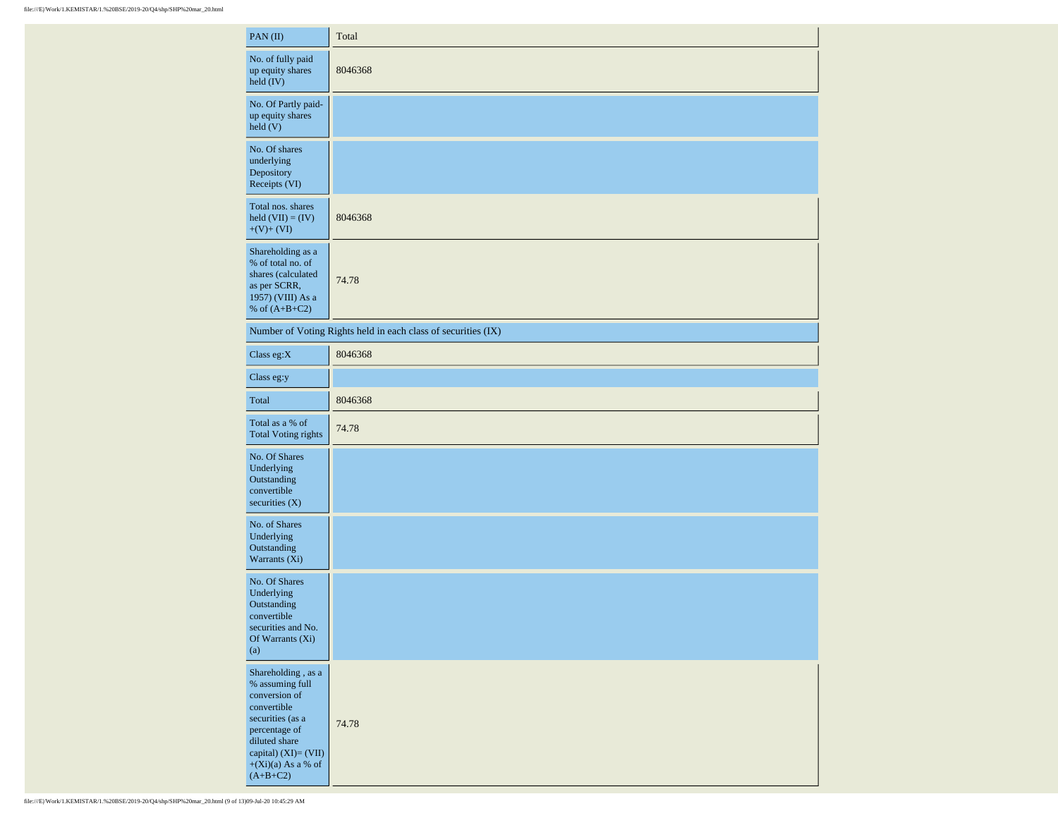| PAN $(II)$                                                                                                                                                                                | Total                                                         |
|-------------------------------------------------------------------------------------------------------------------------------------------------------------------------------------------|---------------------------------------------------------------|
| No. of fully paid<br>up equity shares<br>$\text{held (IV)}$                                                                                                                               | 8046368                                                       |
| No. Of Partly paid-<br>up equity shares<br>$\text{held}$ (V)                                                                                                                              |                                                               |
| No. Of shares<br>underlying<br>Depository<br>Receipts (VI)                                                                                                                                |                                                               |
| Total nos. shares<br>held $(VII) = (IV)$<br>$+(V)+(VI)$                                                                                                                                   | 8046368                                                       |
| Shareholding as a<br>% of total no. of<br>shares (calculated<br>as per SCRR,<br>1957) (VIII) As a<br>% of $(A+B+C2)$                                                                      | 74.78                                                         |
|                                                                                                                                                                                           | Number of Voting Rights held in each class of securities (IX) |
| Class eg:X                                                                                                                                                                                | 8046368                                                       |
| Class eg:y                                                                                                                                                                                |                                                               |
| Total                                                                                                                                                                                     | 8046368                                                       |
| Total as a % of<br><b>Total Voting rights</b>                                                                                                                                             | 74.78                                                         |
| No. Of Shares<br>Underlying<br>Outstanding<br>convertible<br>securities $(X)$                                                                                                             |                                                               |
| No. of Shares<br>Underlying<br>Outstanding<br>Warrants (Xi)                                                                                                                               |                                                               |
| No. Of Shares<br>Underlying<br>Outstanding<br>convertible<br>securities and No.<br>Of Warrants (Xi)<br>(a)                                                                                |                                                               |
| Shareholding, as a<br>% assuming full<br>conversion of<br>convertible<br>securities (as a<br>percentage of<br>diluted share<br>capital) (XI)= (VII)<br>$+(Xi)(a)$ As a % of<br>$(A+B+C2)$ | 74.78                                                         |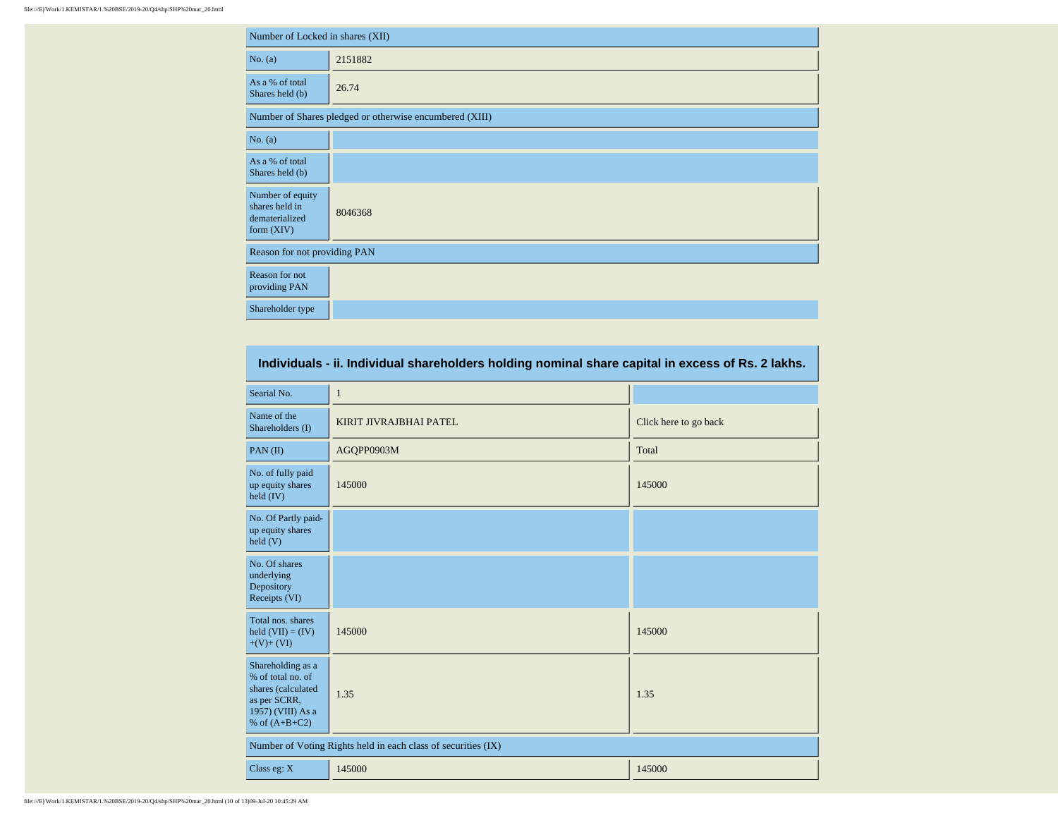| Number of Locked in shares (XII)                                     |                                                         |  |  |  |  |  |  |  |
|----------------------------------------------------------------------|---------------------------------------------------------|--|--|--|--|--|--|--|
| No. (a)                                                              | 2151882                                                 |  |  |  |  |  |  |  |
| As a % of total<br>Shares held (b)                                   | 26.74                                                   |  |  |  |  |  |  |  |
|                                                                      | Number of Shares pledged or otherwise encumbered (XIII) |  |  |  |  |  |  |  |
| No. (a)                                                              |                                                         |  |  |  |  |  |  |  |
| As a % of total<br>Shares held (b)                                   |                                                         |  |  |  |  |  |  |  |
| Number of equity<br>shares held in<br>dematerialized<br>form $(XIV)$ | 8046368                                                 |  |  |  |  |  |  |  |
| Reason for not providing PAN                                         |                                                         |  |  |  |  |  |  |  |
| Reason for not<br>providing PAN                                      |                                                         |  |  |  |  |  |  |  |
| Shareholder type                                                     |                                                         |  |  |  |  |  |  |  |

| Individuals - ii. Individual shareholders holding nominal share capital in excess of Rs. 2 lakhs.                    |                                                               |                       |  |  |  |  |  |  |  |
|----------------------------------------------------------------------------------------------------------------------|---------------------------------------------------------------|-----------------------|--|--|--|--|--|--|--|
| Searial No.                                                                                                          | $\mathbf{1}$                                                  |                       |  |  |  |  |  |  |  |
| Name of the<br>Shareholders (I)                                                                                      | KIRIT JIVRAJBHAI PATEL                                        | Click here to go back |  |  |  |  |  |  |  |
| PAN(II)                                                                                                              | AGQPP0903M                                                    | Total                 |  |  |  |  |  |  |  |
| No. of fully paid<br>up equity shares<br>held $(IV)$                                                                 | 145000                                                        | 145000                |  |  |  |  |  |  |  |
| No. Of Partly paid-<br>up equity shares<br>$\text{held}(V)$                                                          |                                                               |                       |  |  |  |  |  |  |  |
| No. Of shares<br>underlying<br>Depository<br>Receipts (VI)                                                           |                                                               |                       |  |  |  |  |  |  |  |
| Total nos. shares<br>held $(VII) = (IV)$<br>$+(V)+(VI)$                                                              | 145000                                                        | 145000                |  |  |  |  |  |  |  |
| Shareholding as a<br>% of total no. of<br>shares (calculated<br>as per SCRR,<br>1957) (VIII) As a<br>% of $(A+B+C2)$ | 1.35                                                          | 1.35                  |  |  |  |  |  |  |  |
|                                                                                                                      | Number of Voting Rights held in each class of securities (IX) |                       |  |  |  |  |  |  |  |
| Class eg: X                                                                                                          | 145000<br>145000                                              |                       |  |  |  |  |  |  |  |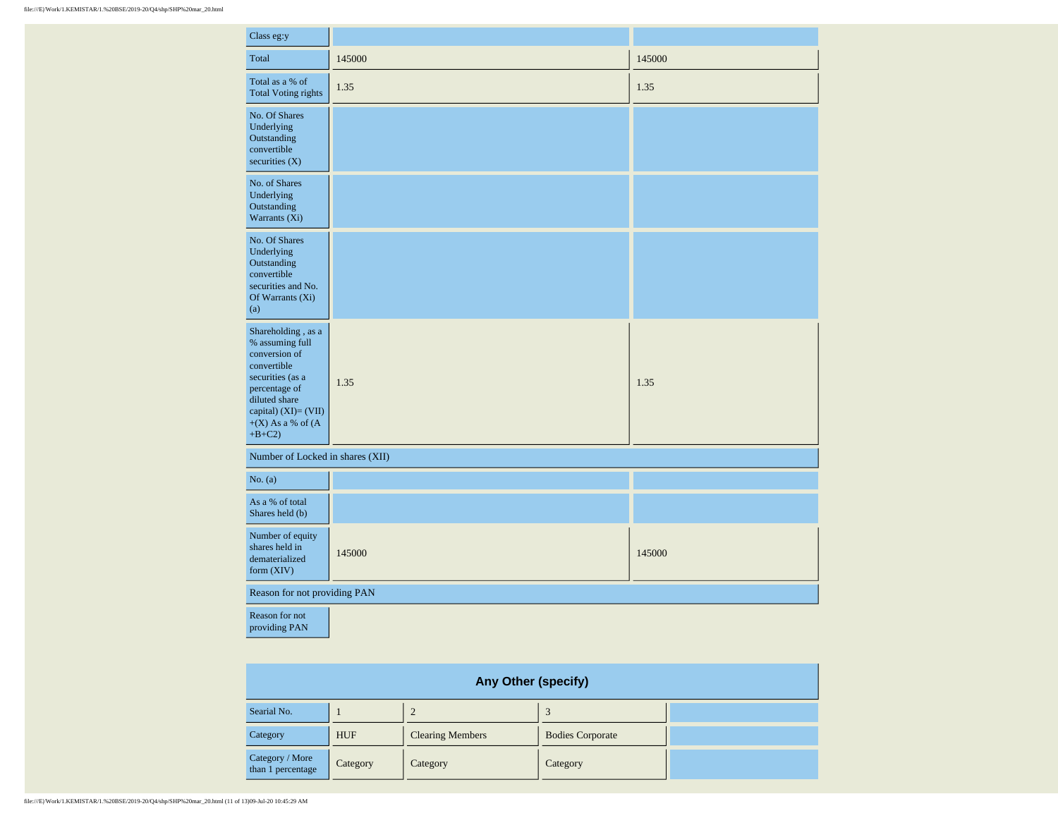| Class eg:y                                                                                                                                                                                |        |        |
|-------------------------------------------------------------------------------------------------------------------------------------------------------------------------------------------|--------|--------|
| Total                                                                                                                                                                                     | 145000 | 145000 |
| Total as a % of<br><b>Total Voting rights</b>                                                                                                                                             | 1.35   | 1.35   |
| No. Of Shares<br>Underlying<br>Outstanding<br>convertible<br>securities $(X)$                                                                                                             |        |        |
| No. of Shares<br>Underlying<br>Outstanding<br>Warrants (Xi)                                                                                                                               |        |        |
| No. Of Shares<br>Underlying<br>Outstanding<br>convertible<br>securities and No.<br>Of Warrants (Xi)<br>(a)                                                                                |        |        |
| Shareholding , as a<br>% assuming full<br>conversion of<br>convertible<br>securities (as a<br>percentage of<br>diluted share<br>capital) $(XI) = (VII)$<br>$+(X)$ As a % of (A<br>$+B+C2$ | 1.35   | 1.35   |
| Number of Locked in shares (XII)                                                                                                                                                          |        |        |
| No. (a)                                                                                                                                                                                   |        |        |
| As a % of total<br>Shares held (b)                                                                                                                                                        |        |        |
| Number of equity<br>shares held in<br>dematerialized<br>form $(XIV)$                                                                                                                      | 145000 | 145000 |
| Reason for not providing PAN                                                                                                                                                              |        |        |
| Reason for not<br>providing PAN                                                                                                                                                           |        |        |

| <b>Any Other (specify)</b>           |            |                         |                         |  |  |  |  |  |  |  |  |
|--------------------------------------|------------|-------------------------|-------------------------|--|--|--|--|--|--|--|--|
| Searial No.                          |            |                         |                         |  |  |  |  |  |  |  |  |
| Category                             | <b>HUF</b> | <b>Clearing Members</b> | <b>Bodies Corporate</b> |  |  |  |  |  |  |  |  |
| Category / More<br>than 1 percentage | Category   | Category                | Category                |  |  |  |  |  |  |  |  |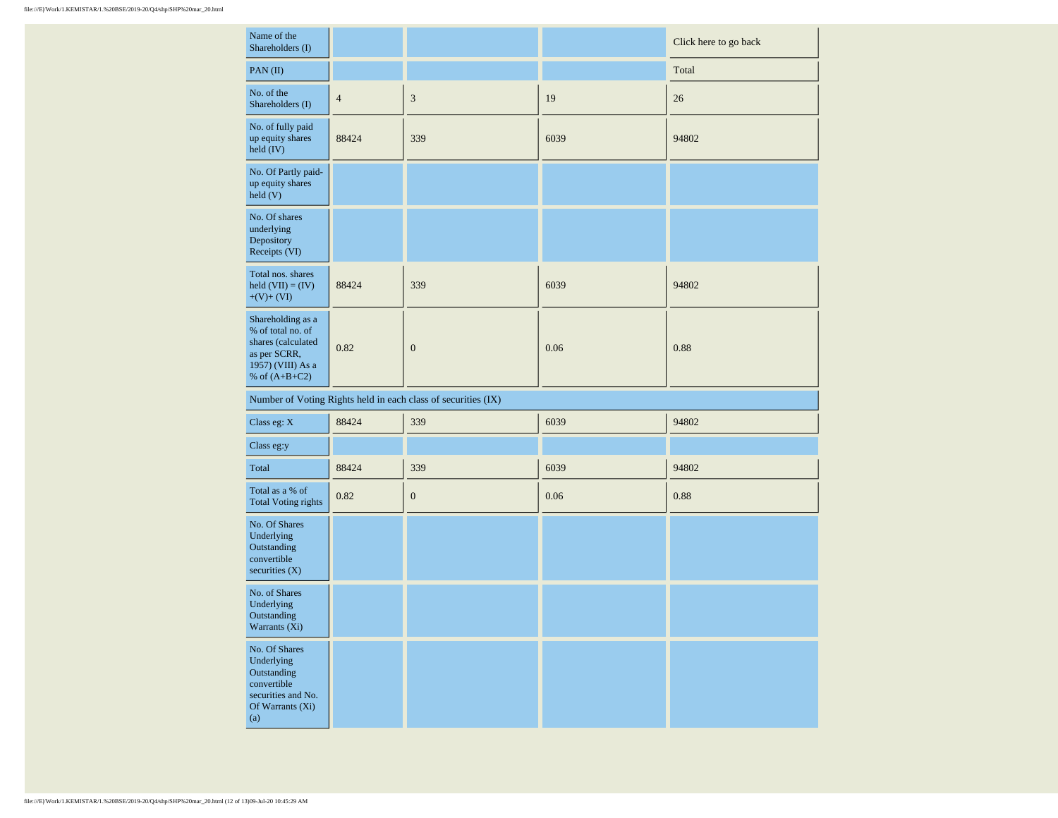| Name of the<br>Shareholders (I)                                                                                      |                |                                                               |      | Click here to go back |
|----------------------------------------------------------------------------------------------------------------------|----------------|---------------------------------------------------------------|------|-----------------------|
| $PAN$ (II)                                                                                                           |                |                                                               |      | Total                 |
| No. of the<br>Shareholders (I)                                                                                       | $\overline{4}$ | $\mathfrak{Z}$                                                | 19   | 26                    |
| No. of fully paid<br>up equity shares<br>held (IV)                                                                   | 88424          | 339                                                           | 6039 | 94802                 |
| No. Of Partly paid-<br>up equity shares<br>held (V)                                                                  |                |                                                               |      |                       |
| No. Of shares<br>underlying<br>Depository<br>Receipts (VI)                                                           |                |                                                               |      |                       |
| Total nos. shares<br>held $(VII) = (IV)$<br>$+(V)+(VI)$                                                              | 88424          | 339                                                           | 6039 | 94802                 |
| Shareholding as a<br>% of total no. of<br>shares (calculated<br>as per SCRR,<br>1957) (VIII) As a<br>% of $(A+B+C2)$ | 0.82           | $\boldsymbol{0}$                                              | 0.06 | 0.88                  |
|                                                                                                                      |                | Number of Voting Rights held in each class of securities (IX) |      |                       |
| Class eg: $\mathbf X$                                                                                                | 88424          | 339                                                           | 6039 | 94802                 |
| Class eg:y                                                                                                           |                |                                                               |      |                       |
| Total                                                                                                                | 88424          | 339                                                           | 6039 | 94802                 |
| Total as a % of<br><b>Total Voting rights</b>                                                                        | 0.82           | $\boldsymbol{0}$                                              | 0.06 | 0.88                  |
| No. Of Shares<br>Underlying<br>Outstanding<br>convertible<br>securities $(X)$                                        |                |                                                               |      |                       |
| No. of Shares<br>Underlying<br>Outstanding<br>Warrants (Xi)                                                          |                |                                                               |      |                       |
| No. Of Shares<br>Underlying<br>Outstanding<br>convertible<br>securities and No.<br>Of Warrants (Xi)<br>(a)           |                |                                                               |      |                       |